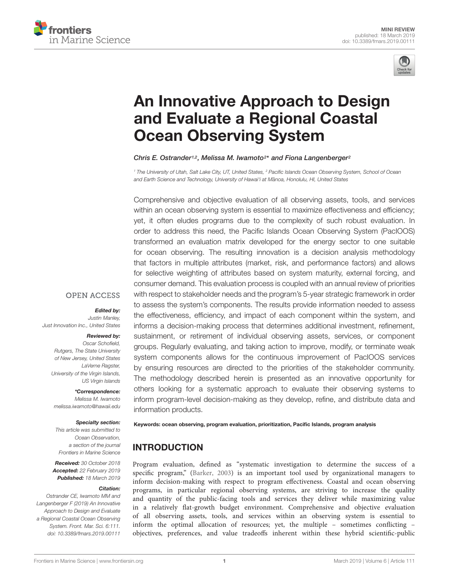



# [An Innovative Approach to Design](https://www.frontiersin.org/articles/10.3389/fmars.2019.00111/full) and Evaluate a Regional Coastal Ocean Observing System

[Chris E. Ostrander](http://loop.frontiersin.org/people/674556/overview)<sup>1,2</sup>, [Melissa M. Iwamoto](http://loop.frontiersin.org/people/606508/overview)<sup>2\*</sup> and [Fiona Langenberger](http://loop.frontiersin.org/people/675212/overview)<sup>2</sup>

<sup>1</sup> The University of Utah, Salt Lake City, UT, United States, <sup>2</sup> Pacific Islands Ocean Observing System, School of Ocean and Earth Science and Technology, University of Hawai'i at Manoa, Honolulu, HI, United States

Comprehensive and objective evaluation of all observing assets, tools, and services within an ocean observing system is essential to maximize effectiveness and efficiency; yet, it often eludes programs due to the complexity of such robust evaluation. In order to address this need, the Pacific Islands Ocean Observing System (PacIOOS) transformed an evaluation matrix developed for the energy sector to one suitable for ocean observing. The resulting innovation is a decision analysis methodology that factors in multiple attributes (market, risk, and performance factors) and allows for selective weighting of attributes based on system maturity, external forcing, and consumer demand. This evaluation process is coupled with an annual review of priorities with respect to stakeholder needs and the program's 5-year strategic framework in order to assess the system's components. The results provide information needed to assess the effectiveness, efficiency, and impact of each component within the system, and informs a decision-making process that determines additional investment, refinement, sustainment, or retirement of individual observing assets, services, or component groups. Regularly evaluating, and taking action to improve, modify, or terminate weak system components allows for the continuous improvement of PacIOOS services by ensuring resources are directed to the priorities of the stakeholder community. The methodology described herein is presented as an innovative opportunity for others looking for a systematic approach to evaluate their observing systems to inform program-level decision-making as they develop, refine, and distribute data and information products.

## **OPEN ACCESS**

Edited by:

Justin Manley, Just Innovation Inc., United States

#### Reviewed by:

Oscar Schofield, Rutgers, The State University of New Jersey, United States LaVerne Ragster, University of the Virgin Islands, US Virgin Islands

\*Correspondence:

Melissa M. Iwamoto melissa.iwamoto@hawaii.edu

#### Specialty section:

This article was submitted to Ocean Observation, a section of the journal Frontiers in Marine Science

Received: 30 October 2018 Accepted: 22 February 2019 Published: 18 March 2019

#### Citation:

Ostrander CE, Iwamoto MM and Langenberger F (2019) An Innovative Approach to Design and Evaluate a Regional Coastal Ocean Observing System. Front. Mar. Sci. 6:111. doi: [10.3389/fmars.2019.00111](https://doi.org/10.3389/fmars.2019.00111)

Keywords: ocean observing, program evaluation, prioritization, Pacific Islands, program analysis

## INTRODUCTION

Program evaluation, defined as "systematic investigation to determine the success of a specific program," [\(Barker,](#page-6-0) [2003\)](#page-6-0) is an important tool used by organizational managers to inform decision-making with respect to program effectiveness. Coastal and ocean observing programs, in particular regional observing systems, are striving to increase the quality and quantity of the public-facing tools and services they deliver while maximizing value in a relatively flat-growth budget environment. Comprehensive and objective evaluation of all observing assets, tools, and services within an observing system is essential to inform the optimal allocation of resources; yet, the multiple – sometimes conflicting – objectives, preferences, and value tradeoffs inherent within these hybrid scientific-public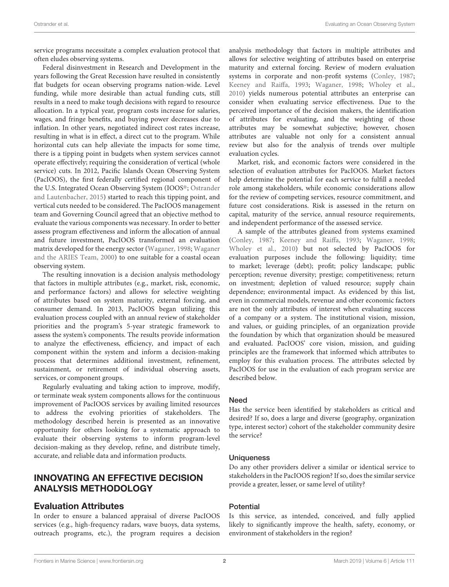service programs necessitate a complex evaluation protocol that often eludes observing systems.

Federal disinvestment in Research and Development in the years following the Great Recession have resulted in consistently flat budgets for ocean observing programs nation-wide. Level funding, while more desirable than actual funding cuts, still results in a need to make tough decisions with regard to resource allocation. In a typical year, program costs increase for salaries, wages, and fringe benefits, and buying power decreases due to inflation. In other years, negotiated indirect cost rates increase, resulting in what is in effect, a direct cut to the program. While horizontal cuts can help alleviate the impacts for some time, there is a tipping point in budgets when system services cannot operate effectively; requiring the consideration of vertical (whole service) cuts. In 2012, Pacific Islands Ocean Observing System (PacIOOS), the first federally certified regional component of the U.S. Integrated Ocean Observing System (IOOS®; [Ostrander](#page-6-1) [and Lautenbacher,](#page-6-1) [2015\)](#page-6-1) started to reach this tipping point, and vertical cuts needed to be considered. The PacIOOS management team and Governing Council agreed that an objective method to evaluate the various components was necessary. In order to better assess program effectiveness and inform the allocation of annual and future investment, PacIOOS transformed an evaluation matrix developed for the energy sector [\(Waganer,](#page-6-2) [1998;](#page-6-2) [Waganer](#page-6-3) [and the ARIES Team,](#page-6-3) [2000\)](#page-6-3) to one suitable for a coastal ocean observing system.

The resulting innovation is a decision analysis methodology that factors in multiple attributes (e.g., market, risk, economic, and performance factors) and allows for selective weighting of attributes based on system maturity, external forcing, and consumer demand. In 2013, PacIOOS began utilizing this evaluation process coupled with an annual review of stakeholder priorities and the program's 5-year strategic framework to assess the system's components. The results provide information to analyze the effectiveness, efficiency, and impact of each component within the system and inform a decision-making process that determines additional investment, refinement, sustainment, or retirement of individual observing assets, services, or component groups.

Regularly evaluating and taking action to improve, modify, or terminate weak system components allows for the continuous improvement of PacIOOS services by availing limited resources to address the evolving priorities of stakeholders. The methodology described herein is presented as an innovative opportunity for others looking for a systematic approach to evaluate their observing systems to inform program-level decision-making as they develop, refine, and distribute timely, accurate, and reliable data and information products.

## INNOVATING AN EFFECTIVE DECISION ANALYSIS METHODOLOGY

## Evaluation Attributes

In order to ensure a balanced appraisal of diverse PacIOOS services (e.g., high-frequency radars, wave buoys, data systems, outreach programs, etc.), the program requires a decision

analysis methodology that factors in multiple attributes and allows for selective weighting of attributes based on enterprise maturity and external forcing. Review of modern evaluation systems in corporate and non-profit systems [\(Conley,](#page-6-4) [1987;](#page-6-4) [Keeney and Raiffa,](#page-6-5) [1993;](#page-6-5) [Waganer,](#page-6-2) [1998;](#page-6-2) [Wholey et al.,](#page-6-6) [2010\)](#page-6-6) yields numerous potential attributes an enterprise can consider when evaluating service effectiveness. Due to the perceived importance of the decision makers, the identification of attributes for evaluating, and the weighting of those attributes may be somewhat subjective; however, chosen attributes are valuable not only for a consistent annual review but also for the analysis of trends over multiple evaluation cycles.

Market, risk, and economic factors were considered in the selection of evaluation attributes for PacIOOS. Market factors help determine the potential for each service to fulfill a needed role among stakeholders, while economic considerations allow for the review of competing services, resource commitment, and future cost considerations. Risk is assessed in the return on capital, maturity of the service, annual resource requirements, and independent performance of the assessed service.

A sample of the attributes gleaned from systems examined [\(Conley,](#page-6-4) [1987;](#page-6-4) [Keeney and Raiffa,](#page-6-5) [1993;](#page-6-5) [Waganer,](#page-6-2) [1998;](#page-6-2) [Wholey et al.,](#page-6-6) [2010\)](#page-6-6) but not selected by PacIOOS for evaluation purposes include the following: liquidity; time to market; leverage (debt); profit; policy landscape; public perception; revenue diversity; prestige; competitiveness; return on investment; depletion of valued resource; supply chain dependence; environmental impact. As evidenced by this list, even in commercial models, revenue and other economic factors are not the only attributes of interest when evaluating success of a company or a system. The institutional vision, mission, and values, or guiding principles, of an organization provide the foundation by which that organization should be measured and evaluated. PacIOOS' core vision, mission, and guiding principles are the framework that informed which attributes to employ for this evaluation process. The attributes selected by PacIOOS for use in the evaluation of each program service are described below.

#### Need

Has the service been identified by stakeholders as critical and desired? If so, does a large and diverse (geography, organization type, interest sector) cohort of the stakeholder community desire the service?

#### **Uniqueness**

Do any other providers deliver a similar or identical service to stakeholders in the PacIOOS region? If so, does the similar service provide a greater, lesser, or same level of utility?

#### **Potential**

Is this service, as intended, conceived, and fully applied likely to significantly improve the health, safety, economy, or environment of stakeholders in the region?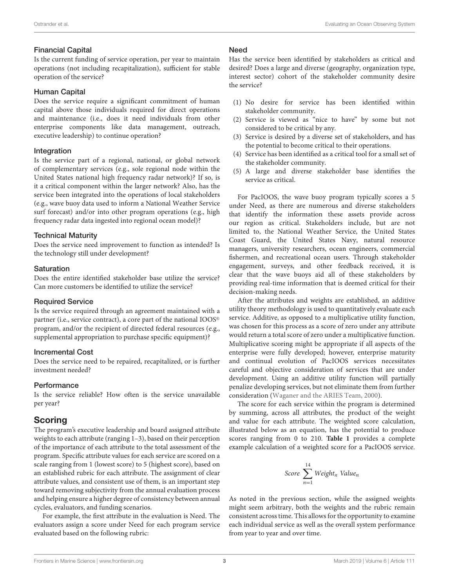#### Financial Capital

Is the current funding of service operation, per year to maintain operations (not including recapitalization), sufficient for stable operation of the service?

#### Human Capital

Does the service require a significant commitment of human capital above those individuals required for direct operations and maintenance (i.e., does it need individuals from other enterprise components like data management, outreach, executive leadership) to continue operation?

#### Integration

Is the service part of a regional, national, or global network of complementary services (e.g., sole regional node within the United States national high frequency radar network)? If so, is it a critical component within the larger network? Also, has the service been integrated into the operations of local stakeholders (e.g., wave buoy data used to inform a National Weather Service surf forecast) and/or into other program operations (e.g., high frequency radar data ingested into regional ocean model)?

#### Technical Maturity

Does the service need improvement to function as intended? Is the technology still under development?

#### **Saturation**

Does the entire identified stakeholder base utilize the service? Can more customers be identified to utilize the service?

#### Required Service

Is the service required through an agreement maintained with a partner (i.e., service contract), a core part of the national IOOS<sup>®</sup> program, and/or the recipient of directed federal resources (e.g., supplemental appropriation to purchase specific equipment)?

#### Incremental Cost

Does the service need to be repaired, recapitalized, or is further investment needed?

#### **Performance**

Is the service reliable? How often is the service unavailable per year?

## Scoring

The program's executive leadership and board assigned attribute weights to each attribute (ranging 1–3), based on their perception of the importance of each attribute to the total assessment of the program. Specific attribute values for each service are scored on a scale ranging from 1 (lowest score) to 5 (highest score), based on an established rubric for each attribute. The assignment of clear attribute values, and consistent use of them, is an important step toward removing subjectivity from the annual evaluation process and helping ensure a higher degree of consistency between annual cycles, evaluators, and funding scenarios.

For example, the first attribute in the evaluation is Need. The evaluators assign a score under Need for each program service evaluated based on the following rubric:

#### **Need**

Has the service been identified by stakeholders as critical and desired? Does a large and diverse (geography, organization type, interest sector) cohort of the stakeholder community desire the service?

- (1) No desire for service has been identified within stakeholder community.
- (2) Service is viewed as "nice to have" by some but not considered to be critical by any.
- (3) Service is desired by a diverse set of stakeholders, and has the potential to become critical to their operations.
- (4) Service has been identified as a critical tool for a small set of the stakeholder community.
- (5) A large and diverse stakeholder base identifies the service as critical.

For PacIOOS, the wave buoy program typically scores a 5 under Need, as there are numerous and diverse stakeholders that identify the information these assets provide across our region as critical. Stakeholders include, but are not limited to, the National Weather Service, the United States Coast Guard, the United States Navy, natural resource managers, university researchers, ocean engineers, commercial fishermen, and recreational ocean users. Through stakeholder engagement, surveys, and other feedback received, it is clear that the wave buoys aid all of these stakeholders by providing real-time information that is deemed critical for their decision-making needs.

After the attributes and weights are established, an additive utility theory methodology is used to quantitatively evaluate each service. Additive, as opposed to a multiplicative utility function, was chosen for this process as a score of zero under any attribute would return a total score of zero under a multiplicative function. Multiplicative scoring might be appropriate if all aspects of the enterprise were fully developed; however, enterprise maturity and continual evolution of PacIOOS services necessitates careful and objective consideration of services that are under development. Using an additive utility function will partially penalize developing services, but not eliminate them from further consideration [\(Waganer and the ARIES Team,](#page-6-3) [2000\)](#page-6-3).

The score for each service within the program is determined by summing, across all attributes, the product of the weight and value for each attribute. The weighted score calculation, illustrated below as an equation, has the potential to produce scores ranging from 0 to 210. **[Table 1](#page-3-0)** provides a complete example calculation of a weighted score for a PacIOOS service.

$$
Score \sum_{n=1}^{14} Weight_n \ Value_n
$$

As noted in the previous section, while the assigned weights might seem arbitrary, both the weights and the rubric remain consistent across time. This allows for the opportunity to examine each individual service as well as the overall system performance from year to year and over time.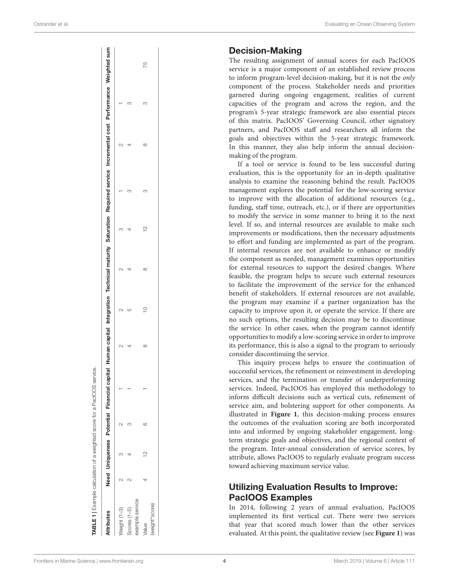#### Decision-Making

The resulting assignment of annual scores for each PacIOOS service is a major component of an established review process to inform program-level decision-making, but it is not the only component of the process. Stakeholder needs and priorities garnered during ongoing engagement, realities of current capacities of the program and across the region, and the program's 5-year strategic framework are also essential pieces of this matrix. PacIOOS' Governing Council, other signatory partners, and PacIOOS staff and researchers all inform the goals and objectives within the 5-year strategic framework. In this manner, they also help inform the annual decisionmaking of the program.

If a tool or service is found to be less successful during evaluation, this is the opportunity for an in-depth qualitative analysis to examine the reasoning behind the result. PacIOOS management explores the potential for the low-scoring service to improve with the allocation of additional resources (e.g., funding, staff time, outreach, etc.), or if there are opportunities to modify the service in some manner to bring it to the next level. If so, and internal resources are available to make such improvements or modifications, then the necessary adjustments to effort and funding are implemented as part of the program. If internal resources are not available to enhance or modify the component as needed, management examines opportunities for external resources to support the desired changes. Where feasible, the program helps to secure such external resources to facilitate the improvement of the service for the enhanced benefit of stakeholders. If external resources are not available, the program may examine if a partner organization has the capacity to improve upon it, or operate the service. If there are no such options, the resulting decision may be to discontinue the service. In other cases, when the program cannot identify opportunities to modify a low-scoring service in order to improve its performance, this is also a signal to the program to seriously consider discontinuing the service.

This inquiry process helps to ensure the continuation of successful services, the refinement or reinvestment in developing services, and the termination or transfer of underperforming services. Indeed, PacIOOS has employed this methodology to inform difficult decisions such as vertical cuts, refinement of service aim, and bolstering support for other components. As illustrated in **[Figure 1](#page-4-0)**, this decision-making process ensures the outcomes of the evaluation scoring are both incorporated into and informed by ongoing stakeholder engagement, longterm strategic goals and objectives, and the regional context of the program. Inter-annual consideration of service scores, by attribute, allows PacIOOS to regularly evaluate program success toward achieving maximum service value.

## Utilizing Evaluation Results to Improve: PacIOOS Examples

In 2014, following 2 years of annual evaluation, PacIOOS implemented its first vertical cut. There were two services that year that scored much lower than the other services evaluated. At this point, the qualitative review (see **[Figure 1](#page-4-0)**) was

| $\infty$<br>₹<br>TABLE 1 Example calculation of a weighted score for a PacIOOS service. | $\supseteq$<br>LO<br>Ń | $\overline{ }$<br>$\infty$ | 잎 | S<br>S | $\infty$<br>4 | Need Uniqueness Potential Financial capital Human capital Integration Technical maturity Saturation Required service Incremental cost Performance Weighted sum<br>S<br>S |
|-----------------------------------------------------------------------------------------|------------------------|----------------------------|---|--------|---------------|--------------------------------------------------------------------------------------------------------------------------------------------------------------------------|
|                                                                                         |                        |                            |   |        |               |                                                                                                                                                                          |

<span id="page-3-0"></span>

|  |  | Frontiers in Marine Science   www.frontiersin.org |  |
|--|--|---------------------------------------------------|--|
|  |  |                                                   |  |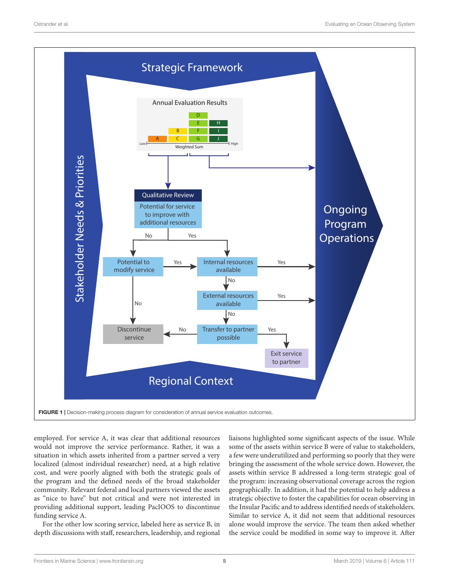

<span id="page-4-0"></span>employed. For service A, it was clear that additional resources would not improve the service performance. Rather, it was a situation in which assets inherited from a partner served a very localized (almost individual researcher) need, at a high relative cost, and were poorly aligned with both the strategic goals of the program and the defined needs of the broad stakeholder community. Relevant federal and local partners viewed the assets as "nice to have" but not critical and were not interested in providing additional support, leading PacIOOS to discontinue funding service A.

For the other low scoring service, labeled here as service B, in depth discussions with staff, researchers, leadership, and regional

liaisons highlighted some significant aspects of the issue. While some of the assets within service B were of value to stakeholders, a few were underutilized and performing so poorly that they were bringing the assessment of the whole service down. However, the assets within service B addressed a long-term strategic goal of the program: increasing observational coverage across the region geographically. In addition, it had the potential to help address a strategic objective to foster the capabilities for ocean observing in the Insular Pacific and to address identified needs of stakeholders. Similar to service A, it did not seem that additional resources alone would improve the service. The team then asked whether the service could be modified in some way to improve it. After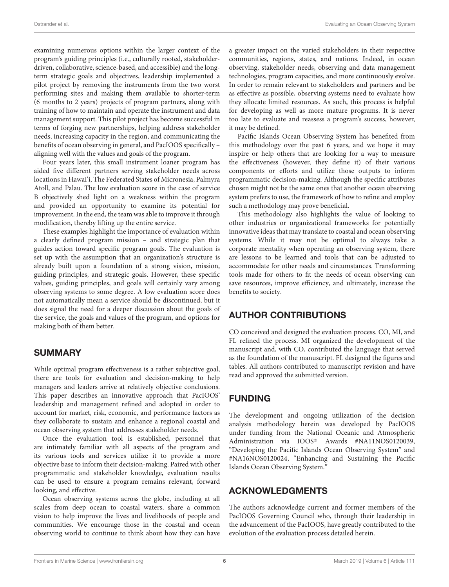examining numerous options within the larger context of the program's guiding principles (i.e., culturally rooted, stakeholderdriven, collaborative, science-based, and accessible) and the longterm strategic goals and objectives, leadership implemented a pilot project by removing the instruments from the two worst performing sites and making them available to shorter-term (6 months to 2 years) projects of program partners, along with training of how to maintain and operate the instrument and data management support. This pilot project has become successful in terms of forging new partnerships, helping address stakeholder needs, increasing capacity in the region, and communicating the benefits of ocean observing in general, and PacIOOS specifically – aligning well with the values and goals of the program.

Four years later, this small instrument loaner program has aided five different partners serving stakeholder needs across locations in Hawai'i, The Federated States of Micronesia, Palmyra Atoll, and Palau. The low evaluation score in the case of service B objectively shed light on a weakness within the program and provided an opportunity to examine its potential for improvement. In the end, the team was able to improve it through modification, thereby lifting up the entire service.

These examples highlight the importance of evaluation within a clearly defined program mission – and strategic plan that guides action toward specific program goals. The evaluation is set up with the assumption that an organization's structure is already built upon a foundation of a strong vision, mission, guiding principles, and strategic goals. However, these specific values, guiding principles, and goals will certainly vary among observing systems to some degree. A low evaluation score does not automatically mean a service should be discontinued, but it does signal the need for a deeper discussion about the goals of the service, the goals and values of the program, and options for making both of them better.

## SUMMARY

While optimal program effectiveness is a rather subjective goal, there are tools for evaluation and decision-making to help managers and leaders arrive at relatively objective conclusions. This paper describes an innovative approach that PacIOOS' leadership and management refined and adopted in order to account for market, risk, economic, and performance factors as they collaborate to sustain and enhance a regional coastal and ocean observing system that addresses stakeholder needs.

Once the evaluation tool is established, personnel that are intimately familiar with all aspects of the program and its various tools and services utilize it to provide a more objective base to inform their decision-making. Paired with other programmatic and stakeholder knowledge, evaluation results can be used to ensure a program remains relevant, forward looking, and effective.

Ocean observing systems across the globe, including at all scales from deep ocean to coastal waters, share a common vision to help improve the lives and livelihoods of people and communities. We encourage those in the coastal and ocean observing world to continue to think about how they can have

a greater impact on the varied stakeholders in their respective communities, regions, states, and nations. Indeed, in ocean observing, stakeholder needs, observing and data management technologies, program capacities, and more continuously evolve. In order to remain relevant to stakeholders and partners and be as effective as possible, observing systems need to evaluate how they allocate limited resources. As such, this process is helpful for developing as well as more mature programs. It is never too late to evaluate and reassess a program's success, however, it may be defined.

Pacific Islands Ocean Observing System has benefited from this methodology over the past 6 years, and we hope it may inspire or help others that are looking for a way to measure the effectiveness (however, they define it) of their various components or efforts and utilize those outputs to inform programmatic decision-making. Although the specific attributes chosen might not be the same ones that another ocean observing system prefers to use, the framework of how to refine and employ such a methodology may prove beneficial.

This methodology also highlights the value of looking to other industries or organizational frameworks for potentially innovative ideas that may translate to coastal and ocean observing systems. While it may not be optimal to always take a corporate mentality when operating an observing system, there are lessons to be learned and tools that can be adjusted to accommodate for other needs and circumstances. Transforming tools made for others to fit the needs of ocean observing can save resources, improve efficiency, and ultimately, increase the benefits to society.

## AUTHOR CONTRIBUTIONS

CO conceived and designed the evaluation process. CO, MI, and FL refined the process. MI organized the development of the manuscript and, with CO, contributed the language that served as the foundation of the manuscript. FL designed the figures and tables. All authors contributed to manuscript revision and have read and approved the submitted version.

## FUNDING

The development and ongoing utilization of the decision analysis methodology herein was developed by PacIOOS under funding from the National Oceanic and Atmospheric Administration via IOOS® Awards #NA11NOS0120039, "Developing the Pacific Islands Ocean Observing System" and #NA16NOS0120024, "Enhancing and Sustaining the Pacific Islands Ocean Observing System."

## ACKNOWLEDGMENTS

The authors acknowledge current and former members of the PacIOOS Governing Council who, through their leadership in the advancement of the PacIOOS, have greatly contributed to the evolution of the evaluation process detailed herein.